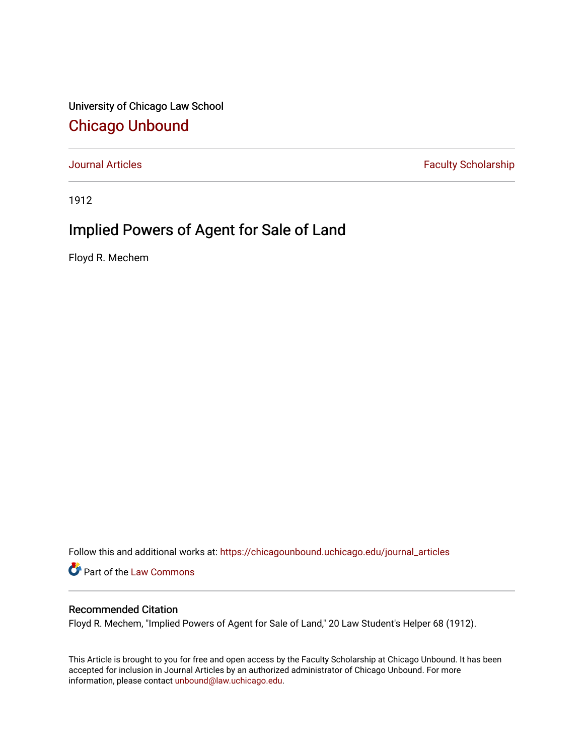University of Chicago Law School [Chicago Unbound](https://chicagounbound.uchicago.edu/)

[Journal Articles](https://chicagounbound.uchicago.edu/journal_articles) **Faculty Scholarship Faculty Scholarship** 

1912

# Implied Powers of Agent for Sale of Land

Floyd R. Mechem

Follow this and additional works at: [https://chicagounbound.uchicago.edu/journal\\_articles](https://chicagounbound.uchicago.edu/journal_articles?utm_source=chicagounbound.uchicago.edu%2Fjournal_articles%2F9164&utm_medium=PDF&utm_campaign=PDFCoverPages) 

Part of the [Law Commons](http://network.bepress.com/hgg/discipline/578?utm_source=chicagounbound.uchicago.edu%2Fjournal_articles%2F9164&utm_medium=PDF&utm_campaign=PDFCoverPages)

#### Recommended Citation

Floyd R. Mechem, "Implied Powers of Agent for Sale of Land," 20 Law Student's Helper 68 (1912).

This Article is brought to you for free and open access by the Faculty Scholarship at Chicago Unbound. It has been accepted for inclusion in Journal Articles by an authorized administrator of Chicago Unbound. For more information, please contact [unbound@law.uchicago.edu](mailto:unbound@law.uchicago.edu).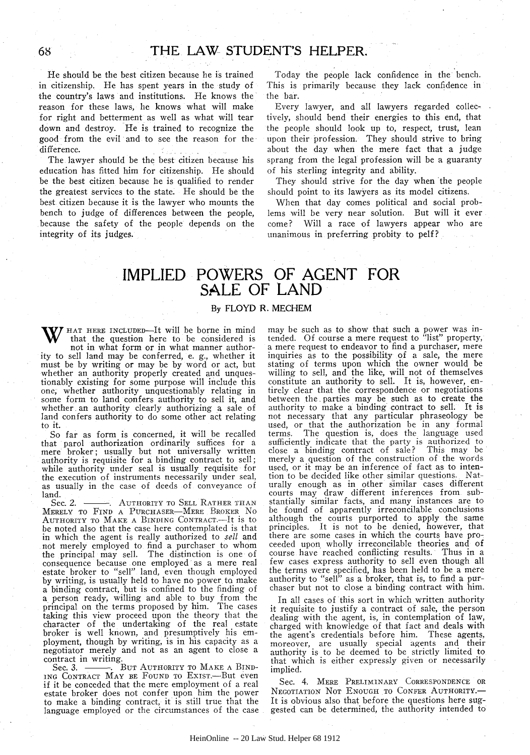### **THE LAW STUDENT'S HELPER.**

He should be the best citizen because he is trained in citizenship. He has spent years in the study of the country's laws and institutions. He knows the reason for these laws, he knows what will make for right and betterment as well as what will tear down and destroy. He is trained to recognize the good from the evil and to see the reason for the difference.

The lawyer should be the best citizen because his education has fitted him for citizenship. He should be the best citizen because he is qualified to render the greatest services to the state. He should be the best citizen because it is the lawyer who mounts the bench to judge of differences between the people, because the safety of the people depends on the integrity of its judges.

Today the people lack confidence in the bench. This is primarily because they lack confidence in the bar.

Every lawyer, and all lawyers regarded collectively, should bend their energies to this end, that the people should look up to, respect, trust, lean upon their profession. They should strive to bring about the day when the mere fact that a judge sprang from the legal profession will be a guaranty of his sterling integrity and ability.

They should strive for the day when the people should point to its lawyers as its model citizens.

When that day comes political and social problems will be very near solution. But will it ever come? Will a race of lawyers appear who are unanimous in preferring probity to pelf?

## IMPLIED POWERS OF **AGENT** FOR **SALE** OF **LAND**

#### **By** FLOYD R. **MECHEM**

W HAT HERE INCLUDED-It will be borne in mind that the question here to be considered is not in what form or in what manner authority to sell land may be conferred, e. g., whether it must be by writing or may be by word or act, but whether an authority properly created and unquestionably existing for some purpose will include this one, whether authority unquestionably relating in some form to land confers authority to sell it, and whether an authority clearly authorizing a sale of land confers authority to do some other act relating to it.

So far as form is concerned, it will be recalled that parol authorization ordinarily suffices for a mere broker; usually but not universally written authority is requisite for a binding contract to sell; while authority under seal is usually requisite for the execution of instruments necessarily under seal, as usually in the case of deeds of conveyance of land.

Sec. 2. **AUTHORITY TO SELL RATHER THAN** MERELY TO FIND A PURCHASER-MERE BROKER No AUTHORITY TO MAKE A BINDING CONTRACT.-It is to be noted also that the case here contemplated is that in which the agent is really authorized to *sell* and not merely employed to find a purchaser to whom the principal may sell. The distinction is one of consequence because one employed as a mere real estate broker to "sell" land, even though employed by writing, is usually held to have no power to make a binding contract, but is confined to the finding of a person ready, willing and able to buy from the principal on the terms proposed by him. The cases taking this view proceed upon the theory that the character of the undertaking of the real estate broker is well known, and presumptively his employment, though by writing, is in his capacity as a negotiator merely and not as an agent to close a contract in writing.

Sec. 3. **-** BUT AUTHORITY TO MAKE A BIND-*INC* CONTRACT MAY BE FOUND TO ExIST.-But even if it be conceded that the mere employment of a real estate broker does not confer upon him the power to make a binding contract, it is still true that the language employed or the circumstances of the case

may be such as to show that such a power was intended. Of course a mere request to "list" property, a mere request to endeavor to find a purchaser, mere inquiries as to the possibility of a sale, the mere stating of terms upon which the owner would be willing to sell, and the like, will not of themselves constitute an authority to sell. It is, however, entirely clear that the correspondence or negotiations between the parties may be such as to create the authority to make a binding contract to sell. It is not necessary that any particular phraseology be used, or that the authorization be in any formal terms. The question is, does the language used sufficiently indicate that the party is authorized to close a binding contract of sale? This may be merely a question of the construction of the words used, or it may be an inference of fact as to intention to be decided like other similar questions. Naturally enough as in other similar cases different courts may draw different inferences from substantially similar facts, and many instances are to be found of apparently irreconcilable conclusions although the courts purported to apply the same principles. It is not to be denied, however, that there are some cases in which the courts have proceeded upon wholly irreconcilable theories and of course have reached conflicting results. Thus in a few cases express authority to sell even though all the terms were specified, has been held to be a mere authority to "sell" as a broker, that is, to find a purchaser but not to close a binding contract with him.

In all cases of this sort in which written authority it requisite to justify a contract of sale, the person dealing with the agent, is, in contemplation of law, charged with knowledge of that fact and deals with the agent's credentials before him. These agents, moreover, are usually special agents and their authority is to be deemed to be strictly limited to that which is either expressly given or necessarily implied.

Sec. 4. MERE PRELIMINARY CORRESPONDENCE OR NEGOTIATION NOT ENOUGH TO CONFER AUTHORITY.-It is obvious also that before the questions here suggested can be determined, the authority intended to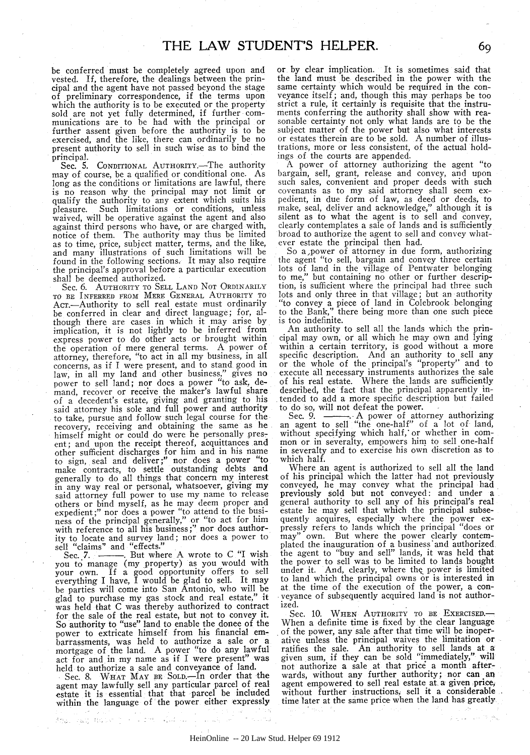be conferred must be completely agreed upon and vested. If, therefore, the dealings between the principal and the agent have not passed beyond the stage of preliminary correspondence, if the terms upon which the authority is to be executed or the property sold are not yet fully determined, if further communications are to be had with the principal or further assent given before the authority is to be exercised, and the like, there can ordinarily be no present authority to sell in such wise as to bind the principal.

Sec. 5. CONDITIONAL AUTHORITY.<sup>-The</sup> authority may of course, be a qualified or conditional one. As long as the conditions or limitations are lawful, there is no reason why the principal may not limit or qualify the authority to any extent which suits his pleasure. Such limitations or conditions, unless waived, will be operative against the agent and also against third persons who have, or are charged with, notice of them. The authority may thus be limited as to time, price, subject matter, terms, and the like, and many illustrations of such limitations will be found in the following sections. It may also require the principal's approval before a particular execution shall be deemed authorized.

Sec. 6. AUTHORITY TO SELL LAND NOT ORDINARILY TO BE INFERRED FROM MERE **GENERAL** AUTHORITY TO Act.-Authority to sell real estate must ordinarily be conferred in clear and direct language; for, although there are cases in which it may arise by implication, it is not lightly to be inferred from express power to do other acts or brought within the operation of mere general terms. A power of attorney, therefore, "to act in all my business, in all concerns, as if I were present, and to stand good in law, in all my land and other business," gives no power to sell land; nor does a power "to ask, de-mand, recover or receive the maker's lawful share of a decedent's estate, giving and granting to his said attorney his sole and full power and authority to take, pursue and follow such legal course for the recovery, receiving and obtaining the same as he himself might or could do were he personally present; and upon the receipt thereof, acquittances and other sufficient discharges for him and in his name to sign, seal and deliver;" nor does a power "to make contracts, to settle outstanding debts and generally to do all things that concern my interest in any way real or personal, whatsoever, giving my said attorney full power to use my name to release others or bind myself, as he may deem proper and expedient ;" nor does a power "to attend to the busi-ness of the principal generally," or "to act for him with reference to all his business;" nor does authority to locate and survey land; nor does a power to sell "claims" and "effects."

Sec. 7. ---- But where A wrote to C "I wish you to manage (my property) as you would with your own. If a good opportunity offers to sell everything I have, I would be glad to sell. It may be parties will come into San Antonio, who will be glad to purchase my gas stock and real estate," it was held that C was thereby authorized to contract for the sale of the real estate, but not to convey it. So authority to "use" land to enable the donee of the power to extricate himself from his financial embarrassments, was held to authorize a sale or a mortgage of the land. A power "to do any lawful act for and in my name as if I were present" was held to authorize a sale and conveyance of land.

Sec. **8.** WHAT MAY **BE** SOLD.-In order that the agent may lawfully sell any particular parcel of real estate it is essential that that parcel be included within the language of the power either expressly

And was moved to come that the

or by clear implication. It is sometimes said that the land must be described in the power with the same certainty which would be required in the conveyance itself; and, though this may perhaps be too strict a rule, it certainly is requisite that the instruments conferring the authority shall show with reasonable certainty not only what lands are to be the subject matter of the power but also what interests or estates therein are to be sold. A number of illustrations, more or less consistent, of the actual holdings of the courts are appended.

A power of attorney authorizing the agent "to bargain, sell, grant, release and convey, and upon such sales, convenient and proper deeds with such covenants as to my said attorney shall seem expedient, in due form of law, as deed or deeds, to make, seal, deliver and acknowledge," although it is silent as to what the agent is to sell and convey, clearly contemplates a sale of lands and is sufficiently broad to authorize the agent to sell and convey whatever estate the principal then had.

So a power of attorney in due form, authorizing the agent "to sell, bargain and convey three certain lots of land in the village of Pentwater belonging to me," but containing no other or further description, is sufficient where the principal had three such lots and only three in that village; but an authority "to convey a piece of land in Colebrook belonging to the Bank," there being more than one such piece is too indefinite.

An authority to sell all the lands which the principal may own, or all which he may own and lying within a certain territory, is good without a more specific description. And an authority to sell any or the whole of the principal's "property" and to execute all necessary instruments authorizes the sale of his real estate. Where the lands are sufficiently described, the fact that the principal apparently intended to add a more specific description but failed to do so, will not defeat the power.

Sec. 9. — A power of attorney authorizing an agent to sell "the one-half" of a lot of land, without specifying which half, or whether in common or in severalty, empowers him to sell one-half in severalty and to exercise his own discretion as to which half.

Where an agent is authorized to sell all the land of his principal which the latter had not previously conveyed, he may convey what the principal had previously sold but not conveyed: and under a general authority to sell any of his principal's real estate he may sell that which the principal subsequently acquires, especially where the power ex-pressly refers to lands which the principal "does or may" own. But where the power clearly contemplated the inauguration of a business and authorized the agent to "buy and sell" lands, it was held that the power to sell was to be limited to lands bought under it. And, clearly, where the power is limited to land which the principal owns or is interested in at the time of the execution of the power, a conveyance of subsequently acquired land is not authorized.

Sec. 10. WHEN AUTHORITY TO BE EXERCISED. When a definite time is fixed by the clear language of the power, any sale after that time will be inoperative unless the principal waives the limitation or ratifies the sale. An authority to sell lands at a given sum, if they can be sold "immediately," will not authorize a sale at that price a month afterwards, without any further authority; nor can an agent empowered to sell real estate at a given price, without further instructions, sell it a considerable time later at the same price when the land has greatly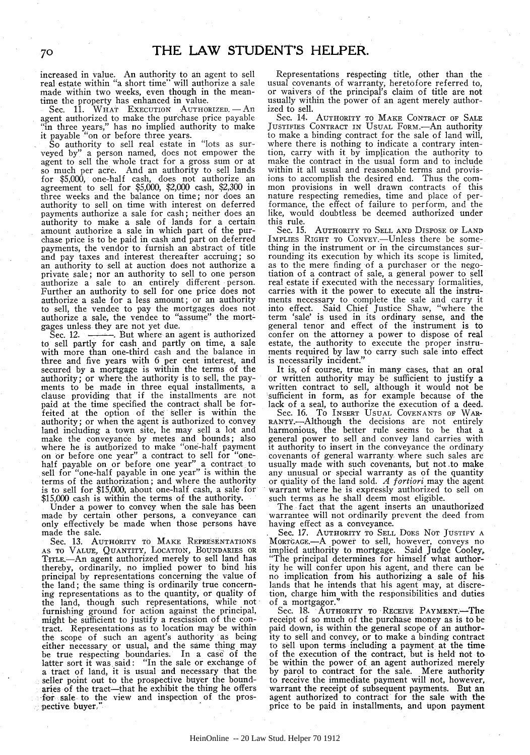increased in value. An authority to an agent to sell real estate within "a short time" will authorize a sale made within two weeks, even though in the meantime the property has enhanced in value.

Sec. 11. What Execution Authorized. An agent authorized to make the purchase price payable "in three years," has no implied authority to make it payable "on or before three years.

So authority to sell real estate in "lots as surveyed by" a person named, does not empower the agent to sell the whole tract for a gross sum or at so much per acre. And an authority to sell lands for \$5,000, one-half cash, does not authorize an agreement to sell for \$5,000, \$2,000 cash, \$2,300 in three weeks and the balance on time; nor does an authority to sell on time with interest on deferred payments authorize a sale for cash; neither does an authority to make a sale of lands for a certain amount authorize a sale in which part of the purchase price is to be paid in cash and part on deferred payments, the vendor to furnish an abstract of title and pay taxes and interest thereafter accruing; so an authority to sell at auction does not authorize a private sale; nor an authority to sell to one person authorize a sale to an entirely different person. Further an authority to sell for one price does not authorize a sale for a less amount; or an authority to sell, the vendee to pay the mortgages does not authorize a sale, the vendee to "assume" the mortgages unless they are not yet due.

Sec. 12. **-** . But where an agent is authorized to sell partly for cash and partly on time, a sale with more than one-third cash and the balance in three and five years with 6 per cent interest, and secured by a mortgage is within the terms of the authority; or where the authority is to sell, the payments to be made in three equal installments, a clause providing that if the installments are not paid at the time specified the contract shall be forfeited at the option of the seller is within the authority; or when the agent is authorized to convey land including a town site, he may sell a lot and make the conveyance by metes and bounds; also where he is authorized to make "one-half payment on or before one year" a contract to sell for "one-half payable on or before one year" a contract to sell for "one-half payable in one year" is within the terms of the authorization; and where the authority is to sell for \$15,000, about one-half cash, a sale for \$15,000 cash is within the terms of the authority.

Under a power to convey when the sale has been made by certain other persons, a conveyance can only effectively be made when those persons have made the sale.

Sec. 13. AUTHORITY TO MAKE REPRESENTATIONS AS TO VALUE, QUANTITY, LOCATION, BOUNDARIES OR TITLE. An agent authorized merely to sell land has thereby, ordinarily, no implied power to bind his principal by representations concerning the value of the land; the same thing is ordinarily true concerning representations as to the quantity, or quality of the land, though such representations, while not furnishing ground for action against the principal, might be sufficient to justify a rescission of the contract. Representations as to location may be within the scope of such an agent's authority as being either necessary or usual, and the same thing may be true respecting boundaries. In a case of the latter sort it was said: "In the sale or exchange of a tract of land, it is usual and necessary that the seller point out to the prospective buyer the bound-aries of the tract-that he exhibit the thing he offers for sale to the view and inspection of the prospective buyer,"

Representations respecting title, other than the usual covenants of warranty, heretofore referred to, or waivers of the principal's claim of title are not usually within the power of an agent merely authorized to sell.

Sec. 14. AUTHORITY TO MAKE CONTRACT OF SALE JUSTIFIES CONTRACT IN USUAL FORM.-An authority to make a binding contract for the sale of land will, where there is nothing to indicate a contrary intention, carry with it **by** implication the authority to make the contract in the usual form and to include within it all usual and reasonable terms and provisions to accomplish the desired end. Thus the common provisions in well drawn contracts of this nature respecting remedies, time and place of performance, the effect of failure to perform, and the like, would doubtless be deemed authorized under

this rule.<br>Sec. 15. AUTHORITY TO SELL AND DISPOSE OF LAND IMPLIES RIGHT TO CONVEY.--Unless there be something in the instrument or in the circumstances surrounding its execution **by** which its scope is limited, as to the mere finding of a purchaser or the negotiation of a contract of sale, a general power to sell real estate if executed with the necessary formalities, carries with it the power to execute all the instruments necessary to complete the sale and carry it into effect. Said Chief Justice Shaw, "where the term 'sale' is used in its ordinary sense, and the general tenor and effect of the instrument is to confer on the attorney a power to dispose of real estate, the authority to execute the proper instruments required **by** law to carry such sale into effect is necessarily incident."

It is, of course, true in many cases, that an oral or written authority may be sufficient to justify a written contract to sell, although it would not be sufficient in form, as for example because of the lack of a seal, to authorize the execution of a deed.

Sec. 16. To INSERT USUAL COVENANTS OF WARRANTY.—Although the decisions are not entirely harmonious, the better rule seems to be that a general power to sell and convey land carries with it authority to insert in the conveyance the ordinary covenants of general warranty where such sales are usually made with such covenants, but not *.to* make any unusual or special warranty as of the quantity or quality of the land sold. *A fortiori* may the agent warrant where he is expressly authorized to sell on such terms as he shall deem most eligible.

The fact that the agent inserts an unauthorized warrantee will not ordinarily prevent the deed from having effect as a conveyance.

Sec. 17. AUTHORITY TO SELL DOES NOT JUSTIFY A MORTGAGE-.A power to sell, however, conveys no implied authority to mortgage. Said Judge Cooley,. "The principal determines for himself what author-ity he will confer upon his agent, and there can be no implication from his authorizing a sale of his lands that he intends that his agent may, at discretion, charge him with the responsibilities and duties of a mortgagor."

Sec. 18. AUTHORITY TO RECEIVE PAYMENT.-The receipt of so much of the purchase money as is to be paid down, is within the general scope of an authority to sell and convey, or to make a binding contract to sell upon terms including a payment at the time of the execution of the contract, but is held not to be within the power of an agent authorized merely by parol to contract for the sale. Mere authority to receive the immediate payment will not, however, warrant the receipt of subsequent payments. But an agent authorized to contract for the sale with the price to be paid in installments, and upon payment